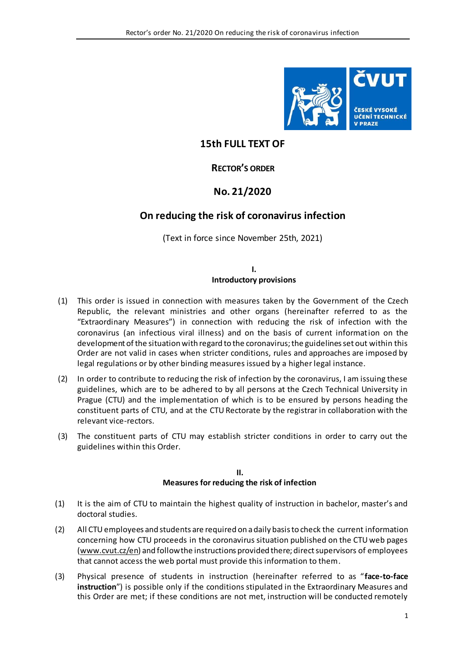

# **15th FULL TEXT OF**

### **RECTOR'S ORDER**

# **No. 21/2020**

## **On reducing the risk of coronavirus infection**

(Text in force since November 25th, 2021)

#### **I. Introductory provisions**

- (1) This order is issued in connection with measures taken by the Government of the Czech Republic, the relevant ministries and other organs (hereinafter referred to as the "Extraordinary Measures") in connection with reducing the risk of infection with the coronavirus (an infectious viral illness) and on the basis of current information on the development of the situation with regard to the coronavirus; the guidelines set out within this Order are not valid in cases when stricter conditions, rules and approaches are imposed by legal regulations or by other binding measures issued by a higher legal instance.
- (2) In order to contribute to reducing the risk of infection by the coronavirus, I am issuing these guidelines, which are to be adhered to by all persons at the Czech Technical University in Prague (CTU) and the implementation of which is to be ensured by persons heading the constituent parts of CTU, and at the CTU Rectorate by the registrar in collaboration with the relevant vice-rectors.
- (3) The constituent parts of CTU may establish stricter conditions in order to carry out the guidelines within this Order.

#### **II. Measures for reducing the risk of infection**

- (1) It is the aim of CTU to maintain the highest quality of instruction in bachelor, master's and doctoral studies.
- (2) All CTU employees and students are required on a daily basis to check the current information concerning how CTU proceeds in the coronavirus situation published on the CTU web pages [\(www.cvut.cz/en\)](http://www.cvut.cz/en) and follow the instructions provided there; direct supervisors of employees that cannot access the web portal must provide this information to them.
- (3) Physical presence of students in instruction (hereinafter referred to as "**face-to-face instruction**") is possible only if the conditions stipulated in the Extraordinary Measures and this Order are met; if these conditions are not met, instruction will be conducted remotely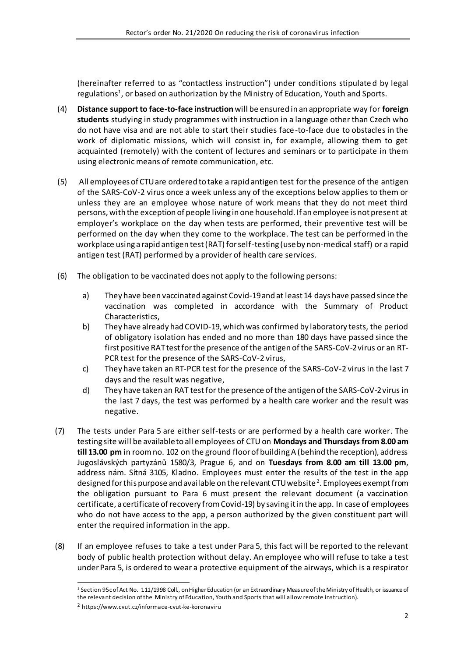(hereinafter referred to as "contactless instruction") under conditions stipulate d by legal regulations<sup>1</sup>, or based on authorization by the Ministry of Education, Youth and Sports.

- (4) **Distance support to face-to-face instruction** will be ensured in an appropriate way for **foreign students** studying in study programmes with instruction in a language other than Czech who do not have visa and are not able to start their studies face-to-face due to obstacles in the work of diplomatic missions, which will consist in, for example, allowing them to get acquainted (remotely) with the content of lectures and seminars or to participate in them using electronic means of remote communication, etc.
- (5) All employees of CTU are ordered to take a rapid antigen test for the presence of the antigen of the SARS-CoV-2 virus once a week unless any of the exceptions below applies to them or unless they are an employee whose nature of work means that they do not meet third persons, with the exception of people living in one household. If an employee is not present at employer's workplace on the day when tests are performed, their preventive test will be performed on the day when they come to the workplace. The test can be performed in the workplace using a rapid antigen test (RAT) for self-testing (use by non-medical staff) or a rapid antigen test (RAT) performed by a provider of health care services.
- (6) The obligation to be vaccinated does not apply to the following persons:
	- a) They have been vaccinated against Covid-19and at least 14 days have passed since the vaccination was completed in accordance with the Summary of Product Characteristics,
	- b) They have already had COVID-19, which was confirmed by laboratory tests, the period of obligatory isolation has ended and no more than 180 days have passed since the first positive RAT test for the presence of the antigen of the SARS-CoV-2 virus or an RT-PCR test for the presence of the SARS-CoV-2 virus,
	- c) They have taken an RT-PCR test for the presence of the SARS-CoV-2 virus in the last 7 days and the result was negative,
	- d) They have taken an RAT testfor the presence of the antigen of the SARS-CoV-2 virus in the last 7 days, the test was performed by a health care worker and the result was negative.
- (7) The tests under Para 5 are either self-tests or are performed by a health care worker. The testing site will be available to all employees of CTU on **Mondays and Thursdays from 8.00 am till 13.00 pm** in room no. 102 on the ground floor of building A (behind the reception), address Jugoslávských partyzánů 1580/3, Prague 6, and on **Tuesdays from 8.00 am till 13.00 pm**, address nám. Sítná 3105, Kladno. Employees must enter the results of the test in the app designed for this purpose and available on the relevant CTU website <sup>2</sup>. Employees exempt from the obligation pursuant to Para 6 must present the relevant document (a vaccination certificate, a certificate of recovery from Covid-19) by saving it in the app. In case of employees who do not have access to the app, a person authorized by the given constituent part will enter the required information in the app.
- (8) If an employee refuses to take a test under Para 5, this fact will be reported to the relevant body of public health protection without delay. An employee who will refuse to take a test under Para 5, is ordered to wear a protective equipment of the airways, which is a respirator

 $\overline{a}$ 

<sup>1</sup> Section 95c of Act No. 111/1998 Coll., on Higher Education (or an Extraordinary Measure of the Ministry of Health, or issuance of the relevant decision of the Ministry of Education, Youth and Sports that will allow remote instruction).

<sup>2</sup> https://www.cvut.cz/informace-cvut-ke-koronaviru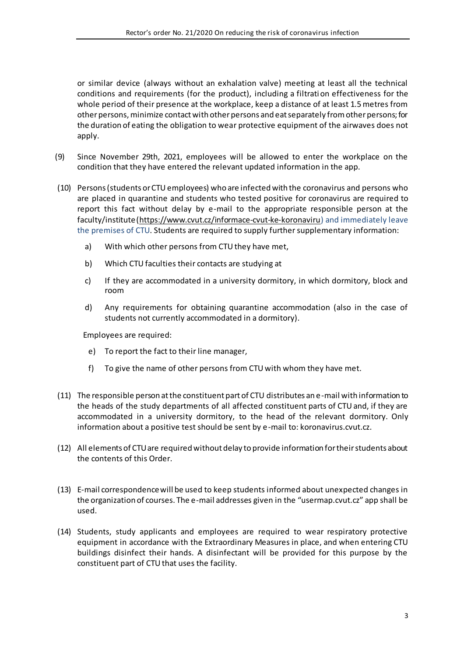or similar device (always without an exhalation valve) meeting at least all the technical conditions and requirements (for the product), including a filtration effectiveness for the whole period of their presence at the workplace, keep a distance of at least 1.5 metres from other persons, minimize contact with other persons and eat separately from other persons; for the duration of eating the obligation to wear protective equipment of the airwaves does not apply.

- (9) Since November 29th, 2021, employees will be allowed to enter the workplace on the condition that they have entered the relevant updated information in the app.
- (10) Persons (students or CTU employees) who are infected with the coronavirus and persons who are placed in quarantine and students who tested positive for coronavirus are required to report this fact without delay by e-mail to the appropriate responsible person at the faculty/institute (https://www.cvut.cz/informace‐cvut‐ke‐koronaviru) and immediately leave the premises of CTU. Students are required to supply further supplementary information:
	- a) With which other persons from CTU they have met,
	- b) Which CTU faculties their contacts are studying at
	- c) If they are accommodated in a university dormitory, in which dormitory, block and room
	- d) Any requirements for obtaining quarantine accommodation (also in the case of students not currently accommodated in a dormitory).

Employees are required:

- e) To report the fact to their line manager,
- f) To give the name of other persons from CTU with whom they have met.
- (11) The responsible person at the constituent part of CTU distributes an e-mail with information to the heads of the study departments of all affected constituent parts of CTU and, if they are accommodated in a university dormitory, to the head of the relevant dormitory. Only information about a positive test should be sent by e-mail to: koronavirus.cvut.cz.
- (12) All elements of CTU are required without delay to provide information for their students about the contents of this Order.
- (13) E-mail correspondence will be used to keep students informed about unexpected changes in the organization of courses. The e-mail addresses given in the "usermap.cvut.cz" app shall be used.
- (14) Students, study applicants and employees are required to wear respiratory protective equipment in accordance with the Extraordinary Measures in place, and when entering CTU buildings disinfect their hands. A disinfectant will be provided for this purpose by the constituent part of CTU that uses the facility.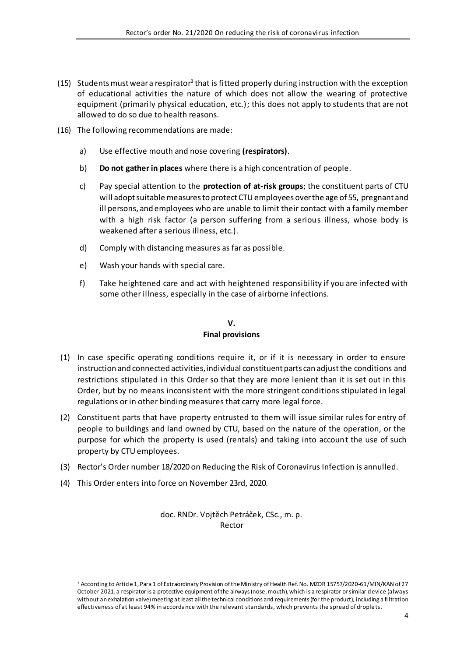- (15) Students must wear a respirator<sup>3</sup> that is fitted properly during instruction with the exception of educational activities the nature of which does not allow the wearing of protective equipment (primarily physical education, etc.); this does not apply to students that are not allowed to do so due to health reasons.
- (16) The following recommendations are made:
	- a) Use effective mouth and nose covering **(respirators)**.
	- b) **Do not gather in places** where there is a high concentration of people.
	- c) Pay special attention to the **protection of at-risk groups**; the constituent parts of CTU will adopt suitable measures to protect CTU employees over the age of 55, pregnant and ill persons, and employees who are unable to limit their contact with a family member with a high risk factor (a person suffering from a serious illness, whose body is weakened after a serious illness, etc.).
	- d) Comply with distancing measures as far as possible.
	- e) Wash your hands with special care.
	- f) Take heightened care and act with heightened responsibility if you are infected with some other illness, especially in the case of airborne infections.

### **V. Final provisions**

- (1) In case specific operating conditions require it, or if it is necessary in order to ensure instruction and connected activities, individual constituent parts can adjust the conditions and restrictions stipulated in this Order so that they are more lenient than it is set out in this Order, but by no means inconsistent with the more stringent conditions stipulated in legal regulations or in other binding measures that carry more legal force.
- (2) Constituent parts that have property entrusted to them will issue similar rules for entry of people to buildings and land owned by CTU, based on the nature of the operation, or the purpose for which the property is used (rentals) and taking into account the use of such property by CTU employees.
- (3) Rector's Order number 18/2020 on Reducing the Risk of Coronavirus Infection is annulled.
- (4) This Order enters into force on November 23rd, 2020.

doc. RNDr. Vojtěch Petráček, CSc., m. p. Rector

 $\overline{a}$ <sup>3</sup> According to Article 1, Para 1 of Extraordinary Provision of the Ministry of Health Ref. No. MZDR 15757/2020-61/MIN/KAN of 27 October 2021, a respirator is a protective equipment of the airways (nose, mouth), which is a respirator or similar device (always without an exhalation valve) meeting at least all the technical conditions and requirements (for the product), including a fi ltration effectiveness of at least 94% in accordance with the relevant standards, which prevents the spread of droplets.